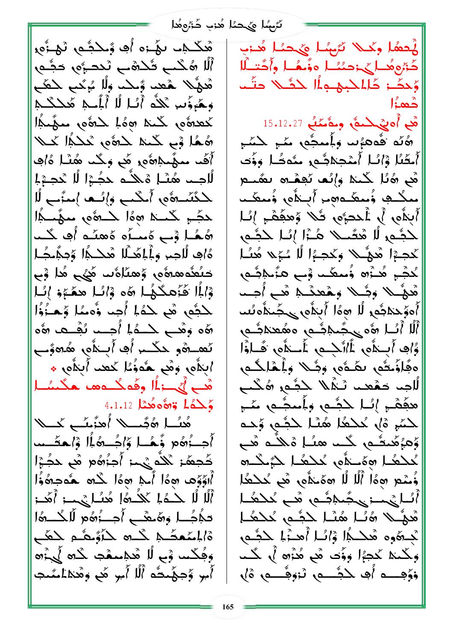المُهمَّد حِمَّا مُدَبِّ هَزَمِهُم

تُعَكِّمِ لَهُــ;ه أَبِّ وُحِكْمٍ لَهِــ;ُهِ, ٱلۡا ہُکُبِ ثَکۡہُبِ نُعۡصِرُہٖ حَضُّمٖ هُدِيًا ۖ هُعِدٍ وُمِنْدٍ وِلَٰا يُبِيَنِي لِمَعْبِ وِهَبِوَٰسٍ كُلُّه أَنُـا لَٰا أَلِمَسِيمٍ مَكـكَــِمِ المُسْهُم رَهْمًا لِمُهِ مَنْ رَهُمْ مَكْسَبًا هُمُا وْمِ كَمَطْ حْشُو كُلْكُمْ! كَحَلَّا أَهُد معهَّمِهِ، مَعْ وِكْد هُمْل هُ/ب لُاجب هُنْا هْلاَّد حجُجْ! لُا كْجِجْ! لِكَنَسْتَوْمٍ أَمَكْنِي وَإِنَّـمَا إِمْدَّنِي لَلْمَ حَجَّمِ كَمِنَا مِهْمَ كَلْمَوْمٍ سَهِّمِكُمْ! ھُھُا وَٰٓ؎ ہُمسَاۡہ ہُھنُے اُفٖ گُم هُ/ڢ لُاجب وِۦلۡۖإِمَّكُـلًا ۚ هَكِــٰهُٳ وَٚجِـمُّبِـجُـا حنُعْدُهِ وَمُ الْمَسْرِ مَنْ اللَّهُ مَنْ اللَّهِ مَعْلَى مِنْ الْمُؤْمِنِ وْإِلَمَا ۚ كَٰٓزُهِكُمُ ۖ أَوۡ وَٰٓائِكَ ۖ مَعۡـٰٓءٖۚ ۚ إِنَّـا لِكْبُمِ، هُمْ لِكُمَاءُ أُجِبٍ وُّومِمًا وَجِمْزُوُّا هُه وهُب حمسهٔ إلْجِمْ يُفْسِعْ هُهْ ئىھەش دىكىپ أَبْ أَبْتَدُّى ۚ ھُيوؤَت ابِلأَى وَهْدٍ هُدَوُّمُا كَعْد أَبِلاَّى \* ثَبِي أَيْرِ زِلَٰہِ وَهُمَكُمُهُمْ بِمَكْتَشَا  $4.1.12$   $2000$   $60$   $72$ هُنُــا هُجُمــــلا أُهزُمنُـــع كَــــلا أَجِسْتُوهُمْ وَّحْسَا وَّاجُسْهُ أَلْ وْاحْصَـٰب خَجمَه هو المَوْسَ مَعْ أَجِزَاهُ مِنْ الْمَحْمَدِينَ مَثْلَا مِنْهُمْ مِنْهُمْ مِنْهُمْ مِنْهُمْ مِ أَاؤَوِّهِ وَوَا أَمِهِ وَوَا كُلُّهِ هُوَجَوْاً أَلَّا لَّا حَــمُـطٍ كَحُــهُ! هُنـُـلِيْمـــز أَهَّــز تجْجُــا وهَـعْـــى أُجــزُهُم لَّاحُـــهُا ة/لمتعصّبه كْـــر حلَوْجْهُــم حطَب وَقُكْسَ وْمِ لَٰلْ هُدْمِمْهُدِ كُلُّهُ لِّيْءُ أَسِ وَّحِهُمحُه ٱلْلهِ أَسِ هُي وفُتِدَامُمُمحِ

لمنافي النصرة النهبة الأكلام ولهمتي دَرْهِ هُــا بِ دِمُنْــا وذُمْــا وأُهَّتــلَّا وُحَضَّۃٍ ظَالِمَجِهِجِماُ الْحَصَّلا حتَّــد حْمدُّا هُم أُوكِيكُمُ وَحَقَّمَكُ 15.12.27 هُلُه قُدهيُر وأُسجُّه مَّج لِكْتُج أَمِكْنَا وْابْلِ أَمْدِدْهُمْ مِنْهِكُلْ وَوَّد قْعِ شَالَ حَكْمَةَ وَإِنَّفْ تَحِفْتُهِ يَعْمَلُوا سكُنْتِ وُسْتَكْتَمِهِمْ أَبْتَدَّى وُسْتَكْتَب أَنظُّى أَب أَحدوُى قُلا وُهفِّفْ إِنُـا لكِبُمر لًا مُع*َصْ*لًا مُـزْاً إِنُـا لِكِجُـم، كَحِبْرًا شَيْئًا وَكَحِبًرا لًا سُبِّيا مُنْتَا مُجْمِ هُـزُه وُسطَـد وْمِ هزُمِهِمْـمِ هُوْسًا وِمُـا وهُـْدَـا مْــو أُحِــو مناه أَمَجَّى رهلُهَا أَهْمَ الْمَعْهُمَةُ مِنْ أَمْرَةً مِنْ مَنْ الْمَعْ رَصَاْبِكَ مِنْ مَثْبَلِهِ مِنْ الْأَلْمَانُ مِنْ الْمَالَمَ مِنْ الْمَالَ وُّاهِ أَبِـٰذُی لَمُأَنَّـٰهِ لَمَـٰذُو قُـاوُۤا وَقَاؤُمِتُم بِمَـٰهُم وَجُـلا وَلَمْمَلَـٰـُم لُّاجِب حَـفَعَـب نُـنَّدُ لَـٰ حَجَّـهِ, شَكْـب هِجَٰهُــِ }ِنُــا حَجَــُـمٍ وِلَمِعجَــمٍ مَنْــِ لأَسُبِ ۚ وَلَى يُحْلَّقُوا هُمْنَا لِحَجَّـٰهِ ۖ وَجَـٰد وَّه؛ مَّدتُــم كَــد هنُــا هْلاَــم هُــع مُحْمَدُ الْمَوْسَوْمِ مُحْمَدًا حَيْمَدُ مِ وُحْمَمِ وَوَا ٱلْمَالُ اللَّهُ وَوَحَدَثُوا مِنْ مَسْتَمَرَّةٍ مِنْ الْمَحْمَدُ أَكْمِكْ مِكْمَجْمِيْتِ بِمِينَ الْمَاتَ هُوَْــٰهُ هُنَـا هُنَـا حَجَّــهِ كُحْعُـا بْحِقُّوهِ مُحِكْمًا وْابْلَ أَهِيْهَا حَجَّمَ وَكَّىٰمَ كَجِزًا وَوَّد فْ هُدَّوه لَّى كَبِّ وَوَّجِسِهِ أَجِي كَجَسَسِمٍ يُزْوِجُسِسِمٍ وَل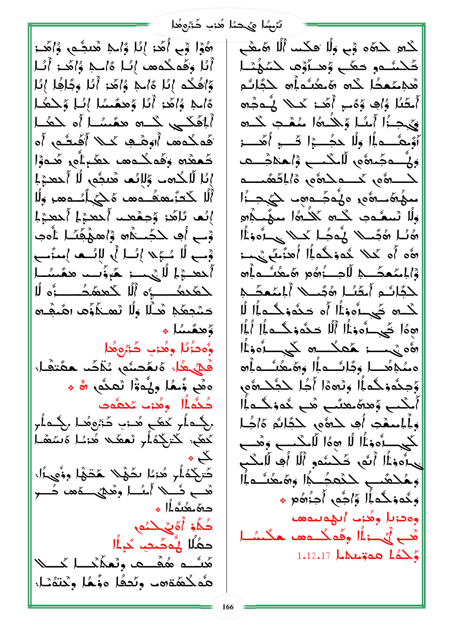المُهمَّا صَحْدًا هُدَبِ حَزَّمِهِ

رَهُوۡۤا وَٛبِي أَهَٰذِ ۗ إِنَّا وَٱلۡطٖ هُنۡجُسِي وُٱهَٰذ أْنُا وَفَدِيكُدِهَا إِنَّا دَّاسِطٍ وَٰٓاهَٰذِ أَنَّا وَّاٰهُكُم إِنَّا هَآٰٮِمْ وَٰٓاهُدَ أَنَّا وَجَاهَا إِنَّا دًا وَاهَدْ أَنَا وَهِمَسُا إِنَّا وَحِكَمَا لَهُمْ وَلَحِمًا أَبْتَعَكَـــِي كَـــــه مَعْسَسًا أَه لحَمَــا َفَمِكُمُهَا أَاوَهْبُ كَمِلًا أَهْبَشُمْ أَه كُعِّدُهِ وَقَدِيكُدِهَا حَقَّةِ أَوْلَا هُدَوْا إِنَا لَالْكُمْتِ وَلِلِنُفِّ مُنْتَقِي لَا أَحْمَيْهَا } أَلَّا لَكْتَنْمُعْشُدُهُ لَمْكَنْ الْمُسْدَهُمْ وَلَّا إِنَّمَا تَأْهَدَ وَجَهْعَتَ أَحْمَدِيْهِا أَحْمَدِيْهِا وْبٍ أَبِّ حَجَّىـٰدُه وْاهِهْفِنَـا لِلْهِب وْبِ لَا سُبْحِهِ إِسَّا ﴾ لِإِنَّــم إِسْتَهَا إِسْتَهَا أحمدجْ لِمَاجْ الْمَسْمَدِ الْمُسْتَقِيدِ مِنْ الْمُسْتَقِيدِ الْمُسْتَقِيدِ الْمُسْتَقِيدِ الْمُسْت للْعَلَمَاتِ مِنْ ٱلْلَّا لَكُمْمَهُ وَالْقَالَ الْمُرْجَمَعَ مِنْ الْلَّامِينَ مِنْ الْلَّامِينَ مِنْ حشجعَكِ هُــلًا ولًا نُعجَكَوَٰڢ اهَــفِــم ۆھمئىلل ھ وأددألا وهذب كنزوها فْهْيُهْا. ەُنْھُدْشُو ئْلْاَكْتْ ھْمُتْشَا. هِ هُم أَمْمًا وَيُورُّا نَعِيُّو \* \* كُثُّه أل وهُزم مُدهَّده بِكُــه اُبِ كَعَكَــبِ هُــزَبِ كَـزَبُرِهِ هُــا بِكُــه اُب َّكْتُبْ كُتْرِكْدُاُر نُعتَكَ هُزْسًا هُنْتُهَا خَبْكِهُ لُم هُذِمًا بِكُهُمْ هُدَهُا وِوْمِيهُا. ھُے ئُـــلا اُمنُـــا وِھُمْکیــــۂھا ئُـــــو حوَّمعُنُهُ أَل مُكَمَّدُ أَهْ يَكْسُمُ أَمْهَ لَهُ مَحْمَدِ الْمُعَامَ هُتُــه هُهْــم ونْعكْنْـــا كْــــلا هُهكُهُةهِ ورُحفًا هؤُهُا وكُنفُسًا.

كُمْ لِكُمُهِ وَمِ وَلَا كَكْسَهُ أَلَّا هُمْعُم كُكِسُّدُو حَكَبٍ وُهِــزُوْهَا كَمُّدُمُّـَـا هُدِمُمُعدُ کُره هُ هُنُديُهِ کَجَانُم أَمْثَلُا وُاْفِ وَّەُمِ أَهْدَ كَــلا كُــْدَى فَيْجِبُرَا أَمِنُا وَجَدْهُا مُفْجِبٍ كَتَبَةٍ أَوُّحِفٌ ولَمَّا وَلَا حَجُّهِ جَمَّا كُبِ أُهُبَ ولُ حجَّدهُ ) لِّأَسْكَسَبِ وَٛاحِظهُ صَ كمستؤهر كمسمكتوه والمقفوسية أَمْكِرِكَ مَوْمَدِّدُوْهِ مِوَقْعَدَ هُمُ وِلَا نَسمُّدب كْـــ30 كْلُـــ31 سمِيَّىـــكِّ الْمَوْسُلا لِأَمِثْمِ الْمَحْمِلِ مِنْ الْمَوْمَةِ الْأَمْرَ هُه أَه كَمِلا شُموهُ الْمُ أُهزَّمَنِي يَهِمز وْكِلْمَحْكَسِمْ لْلْجِسْتُوْمْ وْهُمْعُنْـْدِيْرُه لِكَبَاتُ أَيتَنَا هُبَّى أَلِمَعَكُمْ كُــــاه ضَّـــاهُ وَغُلَّا أَه حَــدُّهُ وَحُــد اللَّهُ لَلَّا لَلَّا هِهُا ضَيْحِدُوفُا ٱلْلَّا صَدُّوْحُـُـدِياْ ٱيْلَا الْمَوْيَاتِ مِنْ مَصْلَحَمْ فِي مِنْ وَقْ ممْجْهُمْ لِعَجَاتُ وَأَلْقَامَ الْمُتَمَمَّلُ وَالْمَحَمَّلُ وَأَرْدَ وِّجِدُهِ ذِكْمِلًا وِنُحِهَا أَجًا حَجَّحَجَّهِ، أَمكْب وَْهِ، مَعْنَبٍ شَبِ خُوفِكُوبَاً وبأباسف أبى حدةً محكِّراتُه وَاجُل كَجِيسةُوفاًا لَا هِوَا لَامِكْسِبِ وِقْسِبِ حِكُماً أَنَّى خَكْشَهِ ٱللَّهُ أَبَّ لَلْكُبِ وهُدْشَبِ حَدْهَدُـٰهُا وَهَمْعُتُـُهُ ا وِحْدوْهُداْ إِلَيْهِ أُجِزُهُمْ \* وودزلا وهزب الهوليوهم ثْبِي أَيْرِ زِلَٰمَ وَهُمَكْتُمُصَا حَكْسُنَا  $1.12.17$   $L$   $\sim$   $300$   $L$   $\sim$   $5$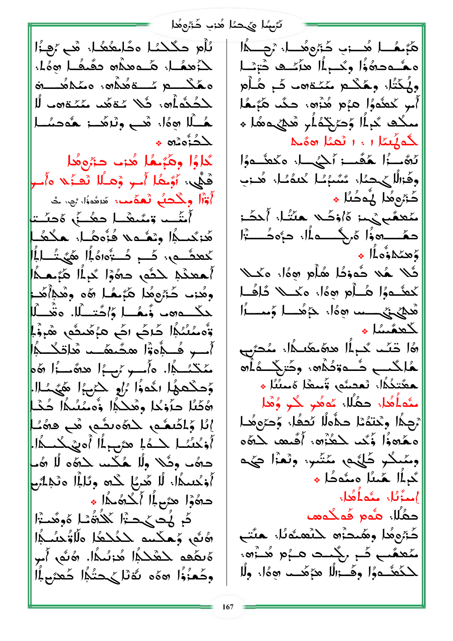المُهمَّد حِمَّا مُدَبِّ هَزَمِهُم

ئلُع حكَّكْسًا وحُامِعُعُا. هُبِ رَجِئًا لأههان هُــوهدُه حقَيقُــا هوُلمَ: ه هَكْس مِ مُسْتَهْرُهِ : مَكْمُرْهِ لِكُخُه أَنْ شَلا سُقفُ مُمُسَّقِينَ لَ هُــُلَا هِهُا. هُــــونْرَهُـــز هُوصِيُــا  $\bullet$   $\circ$   $\circ$   $\circ$   $\circ$   $\circ$ كْلُوُا وهُبُمْعًا هُنِ حَزَّهِهُا فَمِّي. أَوَّىعًا أَسِرٍ وْهِـلًا نُعِـزَى هَأْسِرٍ أَوْأَلُ وِيَكْتُبُ لَعْكَمِي، مَرْهُدُوا رُجٍّ، تُّ أَمْتَـــد وَمَعْمَقْـــا حَمْـــنّ هَجنّـــتا هُزِكُمِيهُا وَيُعْبَدِيهِ فُزَّةِهَا. حَكْمَتُ كَعدتُــمِ، دَـــزِ دُـــرَّهıهُ إِلَّا هَيِّـتُــا إِلَّا أَحْمَدُهُمْ لِحَثَى حَمُّوْا كَبِلًا هَبُعْجَا وهُذب كُبْرِهِهُا هَبَّىهُا هَه وهُدِّأَهُمْ لْمَكْـــدەمە ذُبْعُـــا وَاُهُتـــاْلا. دَتْقـــاْلا وَّەممُنُكُمُّا كَرَكَ رَكَّ مَرُهُدشُهِ ۚ هُرِزْ إِ أُسِــوٖ فُـــدَّءُوٓٓ أَو مصَــْمَـــــــــــ مُّـاتَــُـــــدُّإ مَكَّسُــدًا. ٥أُــــو رَبِّ إ هدهٌ ـــزًا 50 وَحِكْعِهَا بِدُووَٰا رُلِ حِكْرِجُ الصَّيْحَالِ هُكْنُا حِزَوْجُا وِهْكِماْ وْهِمْنُبِهَا حُكْبًا }نُا وُلمَنْعُمْ لِمُعْمَدِهِ مِنْ هَمِ هِيُمْ الْمَ أَوْكُنُنَا لِحَـٰهُ} مَتَنِجِبَاًا أُدْيَكُنَـٰدًا. حەُب وئىلا ولَّا ھُكْسە لِكەَه لَّا ھُمَا أُوْكُنْتُمَا، لَا هَٰزِمًا كُلُه وِتَابَاا دَنْجَائِهِمْ دەُوْا ھىُ اَا اُكْدەُ دا ؛ دِّمٍ لَمَتَ حَيْرًا كَلَاثَةُ صَلَّى وَهَيْتُوا وَ ھُنُّی وَحكْسِهِ حَكْحَظُ وَلَاقُحِسُجُا ەُىھُھە خْشْخْدًا مُزىُنْدًا. شَقْ أَس وكَـمزُوُّا 200 لَّهُ نَاحٍ حِتُمُّا كَعْتَمِ لَمَّا

هَيْمِسَا هُــزبِ هَزْهِ هُــا. ?جـــهُ! معْــودهُوْا وكُــولًا هزَّــُــف خْتِنْــا ولُمَثَلُه وهَكُــع مَمَّـة10 كَــر هُــأَمِر أَسِ كَعثَموُا هَزُم هُٰزُهِ، حَكَّ هَٰٓزَهُمُا مىكُ مَّدِئُلُ وَحَرِّجُدُلُر مُعَلِّمِهِ هُمْلِ \* لَحَدُمُ مَا اللَّهُ الْمَعْلَمُ مَعْمَلَ نَهُ أَ هَفَ ; لَكِ ا مَكْعُدُوا وِهَ;الْمَاجِحِمَا، مُمْبَئِسًا كُنفُسًا، هُــزب |كَتْرُهِهُا لِمُهْدُلُا \* مَعفَّم أَسْتَدَ مَنْ وَهُوَ مِنْ مِنْ مَنْ أَحْدَ حمَّــــــهوُّا هُرِجَّـــــمِلًا. حَرَّهِ حُـــــةُ ا وَهِيَكُمْ وَهُ أَلْ ثَلا ـهُلا حُدوْدًا هُلُع وهُا: مَكــلا كَعثُـووُا هُــأَمْ هِهُا. هكـــلا قُافُــا هْلِيْنِ مِنْ سِمَاء لِمَ هُوَ الْمُسَارِ وَمُسَارًا لاهمُسُا \* هُا تَتِّ نُـبِلًا ههُ هَكَــدًا. مُتَّبَى هُالحُب دُےۊئۇ، وخَبْرِكْتُهُ أَنْهَ هَمَّتَكُمُّاً، ثَعْضَفُو وُّحْمَدُا وَحَبَّنًا ﴾ منُه أَهُا، حمُّلًا، عُه هُر كُر وُهْا. ?,جِدًا وِكْتَوُيْا حَدُّولًا نُحِعًا. وَحَرِّوهُك مَعْدُوْا وَّكُمْ حَكْنُرُهِ، أَقْبَعْهِ حَدَّةُه مردِّم انْهُمْ، مِنْتُمْ رَمَزْلُمْ مِكْمَدٌ، ىُّدِىلَا هُمِلَا ەمھُەكَا \* |إمدَّتُلْ: مِثْمَلُوطُ: حفُلًا، هُمْم فَمِكْمِمَ كَبْرُهِ هَٰذَا وَهُمحِزْهِ كَلْتُهِمَّهُ لَٰذٍ حَلَيْتِ مَعْقَبٍ ثَبِ رِجَّىكَ عَبُرَمَ هُــَرُهِ. للكَعْسَوُا وِهَـزالًا مِدَىِّمَــب وِهَا. وِلَا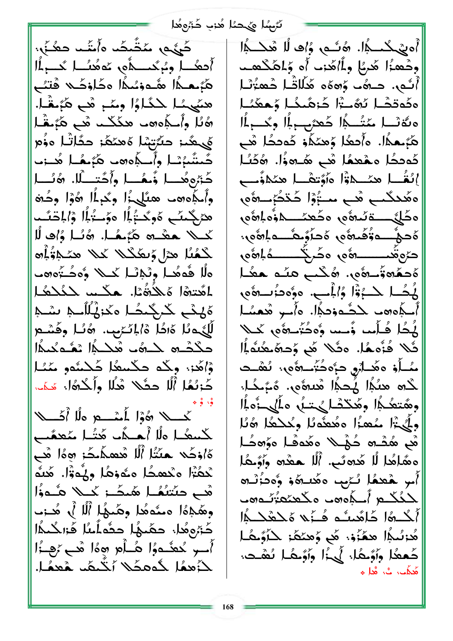المُومِنْة صِنة المُعرَّدِ المُومَّة

خَنْهُم مضْضًا وَأَمِنَّتْ حَقْنَهُ: أُدهُــا وبُرِكَمـــدأَى مَهوُسُــا كُــــرِلُم هَبُعِماً هُدوْسُمًا وطَوْطُه فْتَبُ همّي الحُدّاوُا وسّم هُـ هُبْهَا. هُنُا وأَسْلَمِهِ مِنْكَبٍ مُن مُبْتَغْا ى هَذَا تَكَمَّنَهُمْ وَهُمَنَّةٍ وَهُمَّا وَهُوَ وَهُوَ وَهُوَ وَهُوَ وَهُوَ وَهُوَ وَهُوَ وَهُوَ و كَعِتْبُهُمْا وأُسِلُّوهِ مِنْهُمْا هُـِنِف دَّبۡوهُكُلُّ وَۡـمُـــا وَٱحۡتَـــُلاَ. هُ نُـــا وأُمِلَّهِ وه عَلَى أَو كَبِما اللَّهُ وَالَّهِ وَحُدَّة هِمْكُمِنٌ هُومُدَّةً إِلَّا هَوَسَةً إِلَّا وَإِلَيْهَتَ كْمِيلًا حِمْدُهِ هَٰٓءُحُمَا. هُ نُما وُاهِ لَٰا كْمُنَا مِتْرَا وُبِعَكْكَ كُلَّهُ مِنْكُمْ وُلُوه ەلْل ھُەمُدا وڭلاڭلى كىلا وُەڪَتُوھە لمُتشأ هَهْتُمْل هكْس حْخُدْهُا ەڭى كىڭىكا ەكنۇڭلگى ئىم لِّلَيْحِطُ ذَاءِكُمْ مِنْ الْمُؤْمِنِينَ وَالْمُؤْمَنِينَ مِنْ الْمُؤْمِنَ حكْضُره لحْسَنُ مُحْكِمًا مْعُـمْدُا وْاهُدْ: وكُمْ حكْسِعُا حُكْسُو مَمْنُـا حَزِيُهُا أَلَّا حدَّىٰ ۚ مَٰٓلًا وأَحْدَّوُا ۚ مَمَّ كَمِيلًا هُوْا لَمْشَمْعِ مِلًّا أَضَمْلًا كْمِعْصَا وْلَا أَحْسَنُكَ مّْتْسَا مَحْجَمَس هَاوَكُمْ هَنَّنَا ٱلْا شُهِكْتُ وَوَٰا شَبِي كَعُثَرُا وكَعمحُل وهُوَجُل وِيُوتُوْلِ هَٰذُو هْبِ حنَّتنُهُـا هُمحُــ; كَــلا هُــُهُوُّا وهَٰٓدٍهُۥ مِمُّومُدا وهُمِمُا ٱلْل كَتَرْهِقُا، حَمَّمهُا حَثَّه أَمَنُا فَـْشَكْمُا أُسِرِ نُعِثُـووُا هُــأَمْ هِءُا هُـــوَ وُصَـٰٓءَا لأهمُل كُومِكُمْ أَنْثُمِكُ مُعْمَلَ.

أُونِيَكْمِيْكُمْ. وُيُصِي وُإِنَّ الْمَكْمِيَّةِ ا وضَعْدًا هَٰرِمًا وِلَمُاهَٰذِ أَه وَلِمَكْعِب أَسُّمٍ. حـهُ وَهوَه هَلَاتْها شُعَبُّهْا وضَوْتَهُا لَهُ فَأَ خَزِهَكُمْ وَحَقَيْهَا هَبُعِمًا. ٥أَحِعُا وَمِمْكُو ضَحِصًا هُبِ كُودجًا وهْعِمًا مْبِي هُــِرْوَا. (وُكَبُـا ەھَدىگىپ ھَبِ مەشۇرا كَتْدُرِّسْدەُ ، وهُلمُ تَصْبَهُم وهُمْ تَصْبَحْتُ وَهُمْ وَهُمْ وَهُمْ وَهُمْ وَهُمْ وَهُوَ مِنْ مَنْ مَنْ مَنْ مَنْ ەَحمُّــەڗؙڡٞۺٯڕۄۄٚۄۿڔۄ حرُه تُعسس هُ مه وحُرجٌ مساء المُ من ەَجمەۋَجەۋە ، ھُكْب مِنَّە جِعُبا لُحُــا ۖ كَــرُوْٓا وُا أَبِ وَوَوْدَتُ وَوَوْدَتُ وَقَوْلِ وَقَوْلِ وَقَوْلِ وَقَوْلِ وَقَوْلِ وَ أَسكُوهم لِلصُّوْدِهُا. وأُسر هُمْسًا لْمُحُلّ هُـأَمب وُّمـب وُّهحُثُّمــهُم كَــلا ثَلا فُزُّهِهُا. وثَلا مَّع وَحدَّمضُهُأَا مُسَلَّوْ وَهُــابُرِ دِءُودُ ُوَ اللَّهُ وَ اللَّهُ ــد كُلِّهِ هِنُمُّا لِمُحِمُّا هُنهُونَ. ةَجَنْحُاِ وهُتعُــهُا وهُــٰذَكَــلْـــهُ ولَمُ يَــْوَهُا وِلَيْ يْزَا مُعْمَزُا وَهُعِثُوبًا وِكُحْمَدًا رَهُ بَا هُم هُضُـه حُهْــه وهُوهُــا ووُهحُــا وهَاهُا لَا هُدونَبِ. أَلَّا هِعْدُو وَأَوَّحْمَا أُمر هُعدهُا نُهْبٍ وهُنتوُوْ وُودُنْتُو للمُكْتُم أُسِيَّاه مَا مَكْعَنْكَتُرَبُّتُمُوتَ أَكْسَرُهُ احْلَاهُمْتُ هُـزَىٰ هَـٰذَهُدْــٰهُ ا هُزِيُبِهُمْ الْمَغْزُوْ، هُي وُهِيْهُرْ لِلْأَوُّبِهُمْ حُمعُدا وَأَوْحِمًا: ﴾ِّيدُا وَأَوْحِمًا نُهْدِ: مُكَمِّبٍ. تْ. مُّدَا ﴾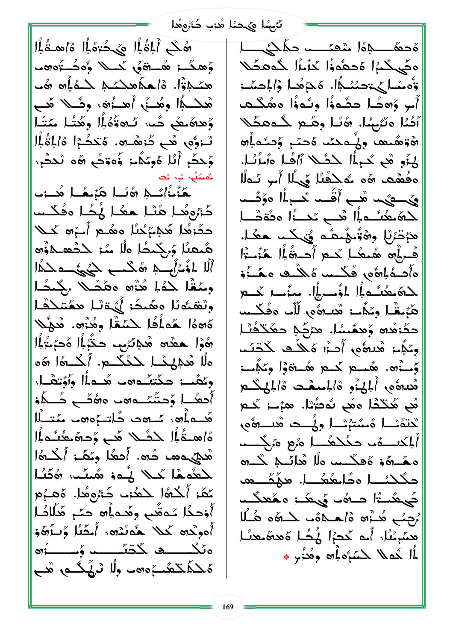المُومِنْهُ مِنْ الْمَحِرَةِ الْمُومَّةَ

الْمِقْسِماهَ الْمِهْتِحْرِهِ الْمِقْلِينَ كَمُعَهُ ؤهكَ هُدةُو كَمِلًا وُهِ حُسْنُوهِ هِمَجْوَةٌ). ٥/ هَدَهْكُمْ لَكُمَةٌ وَ وَهَ تُعْلَــٰہٗا وِيُعَـنِّي أَهــٰزُوٰي. وِشَــٰلا يَعــِ وَهِهُمِعْ كَبِّ لَهُ وَّهُ إِلَّا وَهُتُمَا مَنْتُل لْـزوَّى هُــع كُرْهُـــ3. هُتَدَــُـرَا هُاٰ بِاةُ إِلَّا وَحدٌمِ أَمُلَا هُومُكُم: وَۚه;قُ ۞ه تَحصُر: مُمَيْنٍ مِّنْ مُّد هَٰٓ;ۢ؞;ُٱسۡكِ ۞نُـا هَٰٓ;ِممُـا هُــ;ٮ كَبْرُهِ هُـٰـا هُنْـا ـهَـهُـا لْمُكُـا هِفُكْــت حكَّرْهُا هُدْبَكْنُا مِهُـعِ أَـَرْهِ كَــلا هُىعِبُا وُرِجُىجًا ولًا مُز حَدْهِــدْوُو أَلَّا اذَّمَرُكَ بِ 5 هُكْبٍ حَيْنَ وَحَكَمًا وسَعْلَا لِمَاءِ مُنْزَهِ هِكُمْلًا رِكْمِحُـا ونْفَسُهْ لْمَاهَدَا لِيُّدَمُنَ مَنْتَخَفْطَ كَاهِدًا هُـمَـدُكُمْ لِـمَـمْقُلْ وِهُٰذَٰٓوَهِ. ثَعِيمًا لِـمَـلَمَ هُوْۤا هشُه شَدْنَكِ حِذَّةًۭ إِلَّا هَجَنَّةً إِلَّا ەلْل مْدْلِمْكْمْ حْكُكْمْ. أَكْتُوا بَهْء وَعَقَمَ حَدَّمَتَنَده مَدْمَلًا وَأَوْتِقَالَ أُدهُــا وُحتَّمَّـــــــــه هوهُ صَـــــــــمُ وَ هُـــه لَمه ــــهد كَاتـــمُهمــ مَّتــلًا هُ/هَــةُ إِلَّا ۖ حَدَّـــلا ۖ هَبِ وَحِـهَ حَثَــه إِلَّا هْلِيْهِ هُمْ دُهِ. أُحِعُدْ وَحَكَمْ: أَحْدَهُ لْحَقُّهُمْ كَــلا لِيُـهو هُمنَــه، وَهُضًا عْكَزِ أَكْتَوَا كَحَدُبَ كَزَرْهِ هَٰذَا. هَجَرُم أُوْحِدًا مُّـٰوَثَّى وِمَّـٰہِ إِنَّا حَمَّـٰ مَّلَااضًا ۖ أُهوِيْدِهِ كَمِلًا هُوَيْتُهِ، أَيضُلُا وَيَأْهَدُو ەئگ ھ ڭختّــــــــــــــــــ ۋە ەْݣْكْݣْشْبَورەم وْلَا نْرِيْكُمْ شْم

هُحِمَّـــــــهِمُ الْمُعَمَّــــــــــــــه صَمَّلَحَيْ وَحَيِيكُمُ الْمُحَقَّوَةُ الْحَدِّيزُا لِكُوهِجَلا أُسٍ وَهوَٰٓـا حَثَّـهوُّا وِئَـهوُّا هِهُكُــْفَ أَثْنَا وَتَرْبِبُنَا. ﴿ وَثَمَّا وَهُمْ لَكُوهِكُمْ دُوْهُمِعَهِ وِلْمُحِمَّدِ دَّمَجِ وَصَدْوَاهِ لِخَوِ هُجِ مُدِمِلًا حَشَى ٱلصَّا هَٰمَانُهِ!. مَالَّفَ مِنْ الْمِنْ الْمُحْمَدُ ، وَهُ مَصْفُوهِ لِحَمَّمِعُنَــو)اً مَّـــ رُحَــزًا وثَةَ صَــا هِجْدَءُلْلِ وَهُوَّمُهُمْ هُوَ وَيَجْمَعُ حَقَالَ فَسِهَّاهِ هُمعُما حُصِر أَحِدةُ أَا هُنُسَتْنَا هأصهامه وكمسه كلأه مغذو لِحَمَّمَعُنَّـُوءًا لِمُؤْسِرِيًّا. مِمَّنَـــا كَـــم هَٰزُمِغْیا وِنۡکُمِیز مُحِیمُوںٖ لَّآی وفُکِّیب حكَرْهُده وُهمُسُل هرُجُمْ حكَنْكُفْل وبَكْبِ: هُدِيعُهِ, أُصِنْرُ مَكْسُفَ كَلْحَتَب وَسِنْرُهِ. هُمِيهِ كَيهِ هُي وَوْلِ وَعَلَمِينَ قْتِبْهُمْ أَبْلِيْزُو ةَابْلِسْفْتْ ةْابْلِكْتْمْ هْمِ مُحْكَمًا هِ هُو شُوتُهَا. همَّ بَ كَبْرِ كتفئا مُسْتَبْسًا ويُــد مْبِــوهُ ي أَبِلَكْنَـــدُّمَـ حَكُلْـمُـــا هُ90 هَرْجُـــمَّـــد ەھەۋ ۋەڭسىيە مالا ئىرائىم ئىس حكَّنْــا ەدًامعُعُــا. مەيَّدَـــمە سكصفحت بكري سخاء اشكرك يُرْجِئُ هُـنْزَه هُ/هـدْهُــ لِـــوَهِ هُــُلا هِمَّبِئُلُو أَمِهِ كَحَرَا لِمُحَا هَهِهَ هِئَا لَمَا يَحْمَلا لِمَسْبُوءِإِهِ وِهُذُبِرٍ \*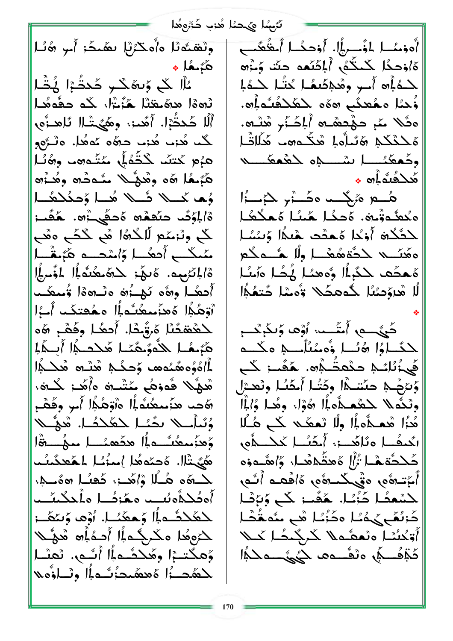المُومِّنَة بِهَا الْمَرِّهِ النُومُّ

أُهومُــا المُسرىًّا. أُوحِكُـا أُمعَّٰعُبَـــ هْ وَحِدُا ۖ جَدَيْدُو ۚ أَبِائِنَعُو ۖ حَتَّىٰ وَّءُرُهِ لحْدُبْه أُسِرٍ ومُحِبْضُعُا حُتُّا حَدُبًا وُحمُا معُعجُم مِهُم حَعَجَفُتُم أَمِهِ. ەئىلا مىر دۆمھىدە آبائىز شىشھ. ەَحْكَكَمْ هَنَبِلُولِ مْتَكْبُومِبْ هَلَلاَتْبِل وكَمعَنْكُ لِسْكُوهِ لِلصَّمِعَكِ هُدِهُنُواْهِ ﴾

هُـــم هَرُبُـــــــــــ ه دَـــــزُم لِمَـــزُا ەكھْدۇمە. ەَحكا ھَىئا ەھكھُا لِحَثَكُمْ أَوْحُلَ هَعْشَفَ هُنِدًا وَيَسُلُّلُ هُهضُم حَدَّدُاً وُوهِنَا يُضَا وَسُلَ لًا مْرَوِّصْنُا كُومِكْ\ وُومْا حُتمُلًا

كَنْ وَالْمَنْسَىٰ، أَوْهَا وَيَذَرِّكُت كحُماوُا هُنُسا وُومُنُلُسِي وكُسو فَي ْ مُلْسَمٍ حِنْعَتُ بِهِ مَقَسِعٍ كَبِ وَلَّوْصَـهِ حَنْتَــدًا وَكْتُـا أَحَكُـا وِلْعَــْلِ ونْثُه لا حْثُمْهُ مِمًّا هُوْا. وهُما وُايْلَ هُذُا هُدهُ أُولًا لَهِ مُحَكِّدٍ كُبِ هُـُلَا ائْدِهُــا وَلَاهُـــز: أَمِدَّـُـا كَكَـــدُّو، كَحْدُّة هْــا رّْأَلْ هُ مِخُمْهْدا. وَاهْــووه رَصَّاهُ مِعْلَمٌ مِنْهُمْ مِنْهُمْ مِنْهُمْ مِنْ لِكَتْمَقُلْ كُزُنْدا. هَقَت: كُبْ وَتَزْقْبَلْ لَكَشْمَهُ مِنْ النُهْدَ النُّهْرَ مِنْهَ تُدْمَلُ أَوْكُنُنَا هَدْهُدُ لا كَرِجُدْتَا كَمَلا كَذِّفُكُم مِنْكُ مِهْتَ الْمَحْمَدِينَ مَلَائًا

وِنْقِمَةَ لَا هَأُه خَيْرُهِ لِمَعْمَدَ أَسِ هُنُم هُ مُما عْلًا لَكَ وَسَمْكُـرٍ كَحَثَّةٍ! هُٰتَـٰا نْهِهْ مِدَهُ حَتَّىٰلًا هُنُمْتُوا. كُمْ حَقَّه هُـا ٱلْا حَحْدُّ!. أَمُّد: وهَيَّ شَاا نَاهِـزُّو، لَّكَ هُزِمٍ هُزِمٍ حَدَّةٍ عَوْهًا. وَلَـرُّهِ هزُم كتبُ كَثَمُهِ مُتَّدِهِ وَهُنَّا هَٰبُمُا ٥٥ وِيْحِيُّـلا مُحْدَثه وِيُحْزُه وُھ کَنے دَّنے مُنا وَجِئُدْهُنَا هْ الْمَوْثُم حَنُعْفُوه هُحَفِّي أَرْه. هَقَّمَ: كُمْ وِنْزِمْمُمْ لَأَحْدُهُ! هُمْ حُكْصُ هِ هُمْ مَمْكَبٍ أَحِعُبًا وَاسْحِبُ هَزَمَةَ ا هْ الرَّحْمِهِ . هَ رَجِّ : حَدَّهُ مِعْنُهُ إِلَّا لَمَوْمِرِيُّ أَحْفُا وِهُمْ نَهْجُهُ مِنْ هُمْ وُسْعَفْ ٱوْهُكُمُ أَهْدَى مَعْنُدَةً أَلَّا مَهُكْنَكُت أَسْرًا لِكَعْقِدُلَا هُرِقُبِطْ. أُحعُل وفَقْعِ هُو هَّرُوهُا حَدُّوُوهُمَّا هُكْدِيُّا أَبِكْلِ أَاهُوُهِ هُدُهِ مَا رَحِكُمٍ ۚ هُنْـ هِ هُكِــٰهُۭا هُوْلًا هُەوْهُمْ مُنْسُدَة ه أُهُد; لَكْ1ة. رَهُ حَبَّ حَزَّ مَعْنُدَةً إِلَّا وَآَوْهُٰهَا ۖ أَمِنٍ وَقَضَّعِ وُتُىلْكِ بِحُبَا حِكَجِجَا. مْمِّـــة وُهزَّمهُنَّـــه إِلَّا هدَههُــــــــل ممهُــــــةُل هَيْ يَنْلَكَ وَحَدَهُ وَلَا إِسْرَٰئِكَ الْمُعَكَّمِيَّت لكسته هُـلًا وْاهْد: كَعْسًا «هُــهِ: أُەكْتْدُەنسىي مَعْزْكْسَا مْلْتْكْتَسْت لِكَعْكِشُوبُاْلِ وُهِعَّنُـا. ٱوْهِ وَيَنَفَــز لاَعِيْدَا مَكْرِبُكُمْ إِلَّا أَصَهُ إِلَى شَيْئِ وُهكَّت إِ وهُكحُــو إُلَّ أَتُــو. ثَهنْــا لحَهُدــزُا هُمهُمحزُتُــه إُل ونْــارْوُه